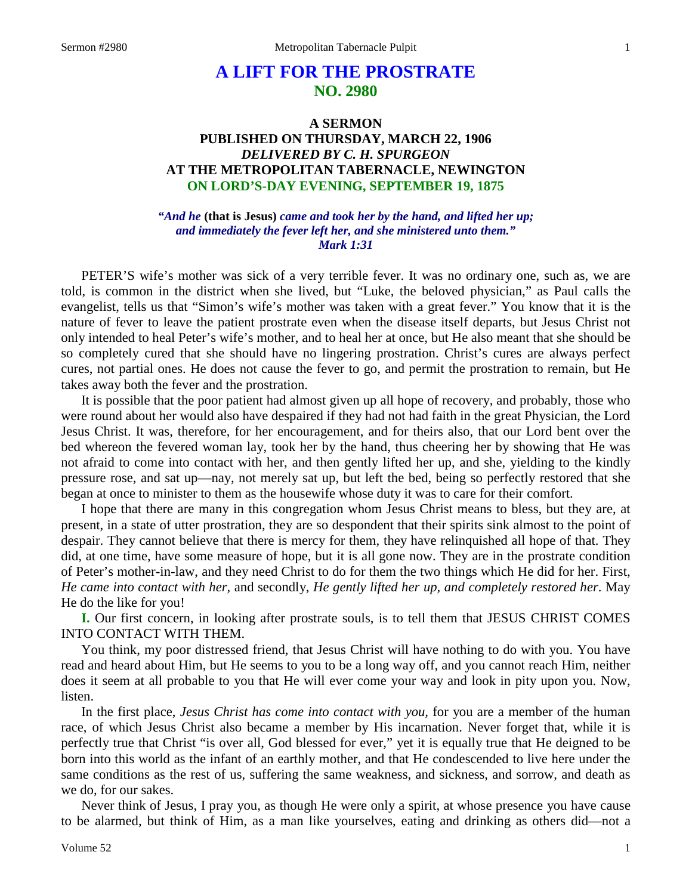# **A LIFT FOR THE PROSTRATE NO. 2980**

# **A SERMON PUBLISHED ON THURSDAY, MARCH 22, 1906** *DELIVERED BY C. H. SPURGEON* **AT THE METROPOLITAN TABERNACLE, NEWINGTON ON LORD'S-DAY EVENING, SEPTEMBER 19, 1875**

*"And he* **(that is Jesus)** *came and took her by the hand, and lifted her up; and immediately the fever left her, and she ministered unto them." Mark 1:31*

PETER'S wife's mother was sick of a very terrible fever. It was no ordinary one, such as, we are told, is common in the district when she lived, but "Luke, the beloved physician," as Paul calls the evangelist, tells us that "Simon's wife's mother was taken with a great fever." You know that it is the nature of fever to leave the patient prostrate even when the disease itself departs, but Jesus Christ not only intended to heal Peter's wife's mother, and to heal her at once, but He also meant that she should be so completely cured that she should have no lingering prostration. Christ's cures are always perfect cures, not partial ones. He does not cause the fever to go, and permit the prostration to remain, but He takes away both the fever and the prostration.

It is possible that the poor patient had almost given up all hope of recovery, and probably, those who were round about her would also have despaired if they had not had faith in the great Physician, the Lord Jesus Christ. It was, therefore, for her encouragement, and for theirs also, that our Lord bent over the bed whereon the fevered woman lay, took her by the hand, thus cheering her by showing that He was not afraid to come into contact with her, and then gently lifted her up, and she, yielding to the kindly pressure rose, and sat up—nay, not merely sat up, but left the bed, being so perfectly restored that she began at once to minister to them as the housewife whose duty it was to care for their comfort.

I hope that there are many in this congregation whom Jesus Christ means to bless, but they are, at present, in a state of utter prostration, they are so despondent that their spirits sink almost to the point of despair. They cannot believe that there is mercy for them, they have relinquished all hope of that. They did, at one time, have some measure of hope, but it is all gone now. They are in the prostrate condition of Peter's mother-in-law, and they need Christ to do for them the two things which He did for her. First, *He came into contact with her,* and secondly, *He gently lifted her up, and completely restored her*. May He do the like for you!

**I.** Our first concern, in looking after prostrate souls, is to tell them that JESUS CHRIST COMES INTO CONTACT WITH THEM.

You think, my poor distressed friend, that Jesus Christ will have nothing to do with you. You have read and heard about Him, but He seems to you to be a long way off, and you cannot reach Him, neither does it seem at all probable to you that He will ever come your way and look in pity upon you. Now, listen.

In the first place, *Jesus Christ has come into contact with you,* for you are a member of the human race, of which Jesus Christ also became a member by His incarnation. Never forget that, while it is perfectly true that Christ "is over all, God blessed for ever," yet it is equally true that He deigned to be born into this world as the infant of an earthly mother, and that He condescended to live here under the same conditions as the rest of us, suffering the same weakness, and sickness, and sorrow, and death as we do, for our sakes.

Never think of Jesus, I pray you, as though He were only a spirit, at whose presence you have cause to be alarmed, but think of Him, as a man like yourselves, eating and drinking as others did—not a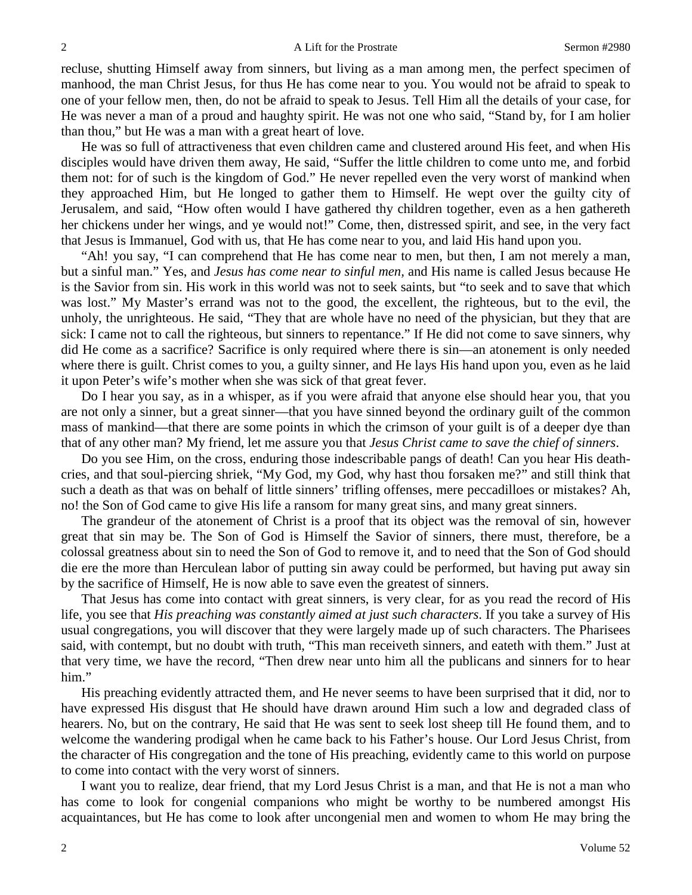recluse, shutting Himself away from sinners, but living as a man among men, the perfect specimen of manhood, the man Christ Jesus, for thus He has come near to you. You would not be afraid to speak to one of your fellow men, then, do not be afraid to speak to Jesus. Tell Him all the details of your case, for He was never a man of a proud and haughty spirit. He was not one who said, "Stand by, for I am holier than thou," but He was a man with a great heart of love.

He was so full of attractiveness that even children came and clustered around His feet, and when His disciples would have driven them away, He said, "Suffer the little children to come unto me, and forbid them not: for of such is the kingdom of God." He never repelled even the very worst of mankind when they approached Him, but He longed to gather them to Himself. He wept over the guilty city of Jerusalem, and said, "How often would I have gathered thy children together, even as a hen gathereth her chickens under her wings, and ye would not!" Come, then, distressed spirit, and see, in the very fact that Jesus is Immanuel, God with us, that He has come near to you, and laid His hand upon you.

"Ah! you say, "I can comprehend that He has come near to men, but then, I am not merely a man, but a sinful man." Yes, and *Jesus has come near to sinful men,* and His name is called Jesus because He is the Savior from sin. His work in this world was not to seek saints, but "to seek and to save that which was lost." My Master's errand was not to the good, the excellent, the righteous, but to the evil, the unholy, the unrighteous. He said, "They that are whole have no need of the physician, but they that are sick: I came not to call the righteous, but sinners to repentance." If He did not come to save sinners, why did He come as a sacrifice? Sacrifice is only required where there is sin—an atonement is only needed where there is guilt. Christ comes to you, a guilty sinner, and He lays His hand upon you, even as he laid it upon Peter's wife's mother when she was sick of that great fever.

Do I hear you say, as in a whisper, as if you were afraid that anyone else should hear you, that you are not only a sinner, but a great sinner—that you have sinned beyond the ordinary guilt of the common mass of mankind—that there are some points in which the crimson of your guilt is of a deeper dye than that of any other man? My friend, let me assure you that *Jesus Christ came to save the chief of sinners*.

Do you see Him, on the cross, enduring those indescribable pangs of death! Can you hear His deathcries, and that soul-piercing shriek, "My God, my God, why hast thou forsaken me?" and still think that such a death as that was on behalf of little sinners' trifling offenses, mere peccadilloes or mistakes? Ah, no! the Son of God came to give His life a ransom for many great sins, and many great sinners.

The grandeur of the atonement of Christ is a proof that its object was the removal of sin, however great that sin may be. The Son of God is Himself the Savior of sinners, there must, therefore, be a colossal greatness about sin to need the Son of God to remove it, and to need that the Son of God should die ere the more than Herculean labor of putting sin away could be performed, but having put away sin by the sacrifice of Himself, He is now able to save even the greatest of sinners.

That Jesus has come into contact with great sinners, is very clear, for as you read the record of His life, you see that *His preaching was constantly aimed at just such characters*. If you take a survey of His usual congregations, you will discover that they were largely made up of such characters. The Pharisees said, with contempt, but no doubt with truth, "This man receiveth sinners, and eateth with them." Just at that very time, we have the record, "Then drew near unto him all the publicans and sinners for to hear him."

His preaching evidently attracted them, and He never seems to have been surprised that it did, nor to have expressed His disgust that He should have drawn around Him such a low and degraded class of hearers. No, but on the contrary, He said that He was sent to seek lost sheep till He found them, and to welcome the wandering prodigal when he came back to his Father's house. Our Lord Jesus Christ, from the character of His congregation and the tone of His preaching, evidently came to this world on purpose to come into contact with the very worst of sinners.

I want you to realize, dear friend, that my Lord Jesus Christ is a man, and that He is not a man who has come to look for congenial companions who might be worthy to be numbered amongst His acquaintances, but He has come to look after uncongenial men and women to whom He may bring the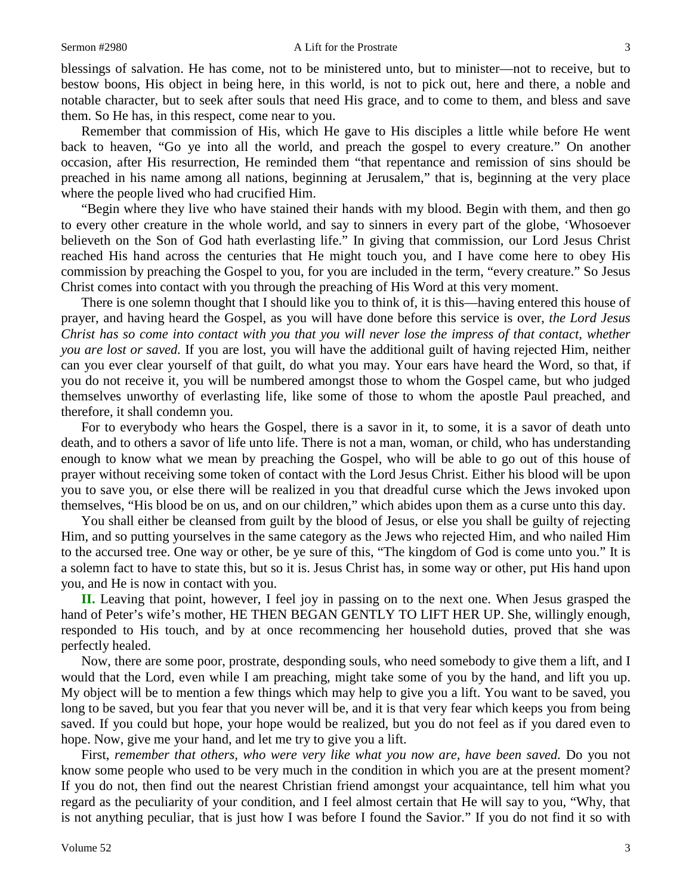blessings of salvation. He has come, not to be ministered unto, but to minister—not to receive, but to bestow boons, His object in being here, in this world, is not to pick out, here and there, a noble and notable character, but to seek after souls that need His grace, and to come to them, and bless and save them. So He has, in this respect, come near to you.

Remember that commission of His, which He gave to His disciples a little while before He went back to heaven, "Go ye into all the world, and preach the gospel to every creature." On another occasion, after His resurrection, He reminded them "that repentance and remission of sins should be preached in his name among all nations, beginning at Jerusalem," that is, beginning at the very place where the people lived who had crucified Him.

"Begin where they live who have stained their hands with my blood. Begin with them, and then go to every other creature in the whole world, and say to sinners in every part of the globe, 'Whosoever believeth on the Son of God hath everlasting life." In giving that commission, our Lord Jesus Christ reached His hand across the centuries that He might touch you, and I have come here to obey His commission by preaching the Gospel to you, for you are included in the term, "every creature." So Jesus Christ comes into contact with you through the preaching of His Word at this very moment.

There is one solemn thought that I should like you to think of, it is this—having entered this house of prayer, and having heard the Gospel, as you will have done before this service is over, *the Lord Jesus Christ has so come into contact with you that you will never lose the impress of that contact, whether you are lost or saved.* If you are lost, you will have the additional guilt of having rejected Him, neither can you ever clear yourself of that guilt, do what you may. Your ears have heard the Word, so that, if you do not receive it, you will be numbered amongst those to whom the Gospel came, but who judged themselves unworthy of everlasting life, like some of those to whom the apostle Paul preached, and therefore, it shall condemn you.

For to everybody who hears the Gospel, there is a savor in it, to some, it is a savor of death unto death, and to others a savor of life unto life. There is not a man, woman, or child, who has understanding enough to know what we mean by preaching the Gospel, who will be able to go out of this house of prayer without receiving some token of contact with the Lord Jesus Christ. Either his blood will be upon you to save you, or else there will be realized in you that dreadful curse which the Jews invoked upon themselves, "His blood be on us, and on our children," which abides upon them as a curse unto this day.

You shall either be cleansed from guilt by the blood of Jesus, or else you shall be guilty of rejecting Him, and so putting yourselves in the same category as the Jews who rejected Him, and who nailed Him to the accursed tree. One way or other, be ye sure of this, "The kingdom of God is come unto you." It is a solemn fact to have to state this, but so it is. Jesus Christ has, in some way or other, put His hand upon you, and He is now in contact with you.

**II.** Leaving that point, however, I feel joy in passing on to the next one. When Jesus grasped the hand of Peter's wife's mother, HE THEN BEGAN GENTLY TO LIFT HER UP. She, willingly enough, responded to His touch, and by at once recommencing her household duties, proved that she was perfectly healed.

Now, there are some poor, prostrate, desponding souls, who need somebody to give them a lift, and I would that the Lord, even while I am preaching, might take some of you by the hand, and lift you up. My object will be to mention a few things which may help to give you a lift. You want to be saved, you long to be saved, but you fear that you never will be, and it is that very fear which keeps you from being saved. If you could but hope, your hope would be realized, but you do not feel as if you dared even to hope. Now, give me your hand, and let me try to give you a lift.

First, *remember that others, who were very like what you now are, have been saved.* Do you not know some people who used to be very much in the condition in which you are at the present moment? If you do not, then find out the nearest Christian friend amongst your acquaintance, tell him what you regard as the peculiarity of your condition, and I feel almost certain that He will say to you, "Why, that is not anything peculiar, that is just how I was before I found the Savior." If you do not find it so with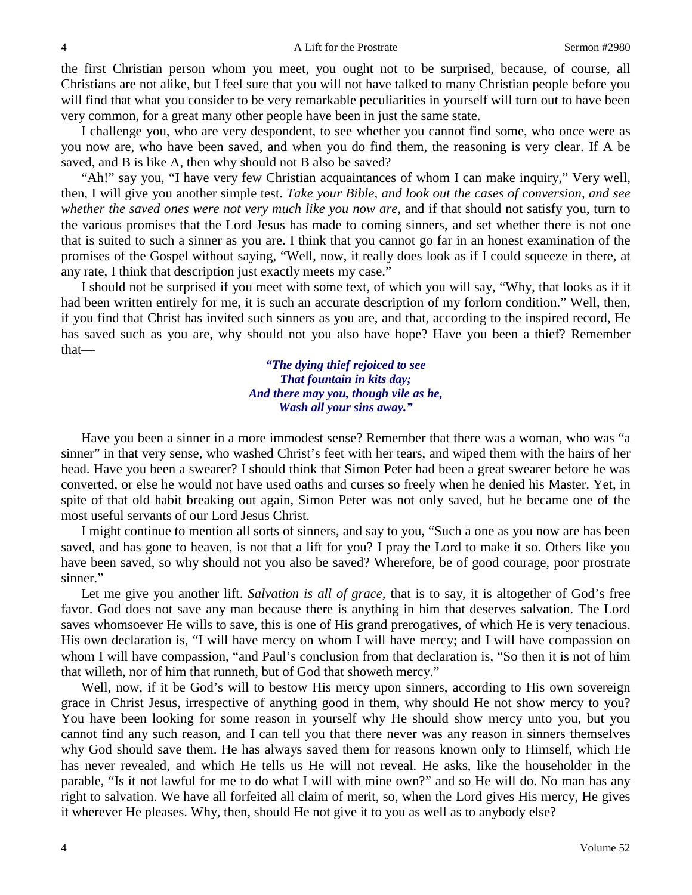the first Christian person whom you meet, you ought not to be surprised, because, of course, all Christians are not alike, but I feel sure that you will not have talked to many Christian people before you will find that what you consider to be very remarkable peculiarities in yourself will turn out to have been very common, for a great many other people have been in just the same state.

I challenge you, who are very despondent, to see whether you cannot find some, who once were as you now are, who have been saved, and when you do find them, the reasoning is very clear. If A be saved, and B is like A, then why should not B also be saved?

"Ah!" say you, "I have very few Christian acquaintances of whom I can make inquiry," Very well, then, I will give you another simple test. *Take your Bible, and look out the cases of conversion, and see whether the saved ones were not very much like you now are,* and if that should not satisfy you, turn to the various promises that the Lord Jesus has made to coming sinners, and set whether there is not one that is suited to such a sinner as you are. I think that you cannot go far in an honest examination of the promises of the Gospel without saying, "Well, now, it really does look as if I could squeeze in there, at any rate, I think that description just exactly meets my case."

I should not be surprised if you meet with some text, of which you will say, "Why, that looks as if it had been written entirely for me, it is such an accurate description of my forlorn condition." Well, then, if you find that Christ has invited such sinners as you are, and that, according to the inspired record, He has saved such as you are, why should not you also have hope? Have you been a thief? Remember that—

> *"The dying thief rejoiced to see That fountain in kits day; And there may you, though vile as he, Wash all your sins away."*

Have you been a sinner in a more immodest sense? Remember that there was a woman, who was "a sinner" in that very sense, who washed Christ's feet with her tears, and wiped them with the hairs of her head. Have you been a swearer? I should think that Simon Peter had been a great swearer before he was converted, or else he would not have used oaths and curses so freely when he denied his Master. Yet, in spite of that old habit breaking out again, Simon Peter was not only saved, but he became one of the most useful servants of our Lord Jesus Christ.

I might continue to mention all sorts of sinners, and say to you, "Such a one as you now are has been saved, and has gone to heaven, is not that a lift for you? I pray the Lord to make it so. Others like you have been saved, so why should not you also be saved? Wherefore, be of good courage, poor prostrate sinner."

Let me give you another lift. *Salvation is all of grace,* that is to say, it is altogether of God's free favor. God does not save any man because there is anything in him that deserves salvation. The Lord saves whomsoever He wills to save, this is one of His grand prerogatives, of which He is very tenacious. His own declaration is, "I will have mercy on whom I will have mercy; and I will have compassion on whom I will have compassion, "and Paul's conclusion from that declaration is, "So then it is not of him that willeth, nor of him that runneth, but of God that showeth mercy."

Well, now, if it be God's will to bestow His mercy upon sinners, according to His own sovereign grace in Christ Jesus, irrespective of anything good in them, why should He not show mercy to you? You have been looking for some reason in yourself why He should show mercy unto you, but you cannot find any such reason, and I can tell you that there never was any reason in sinners themselves why God should save them. He has always saved them for reasons known only to Himself, which He has never revealed, and which He tells us He will not reveal. He asks, like the householder in the parable, "Is it not lawful for me to do what I will with mine own?" and so He will do. No man has any right to salvation. We have all forfeited all claim of merit, so, when the Lord gives His mercy, He gives it wherever He pleases. Why, then, should He not give it to you as well as to anybody else?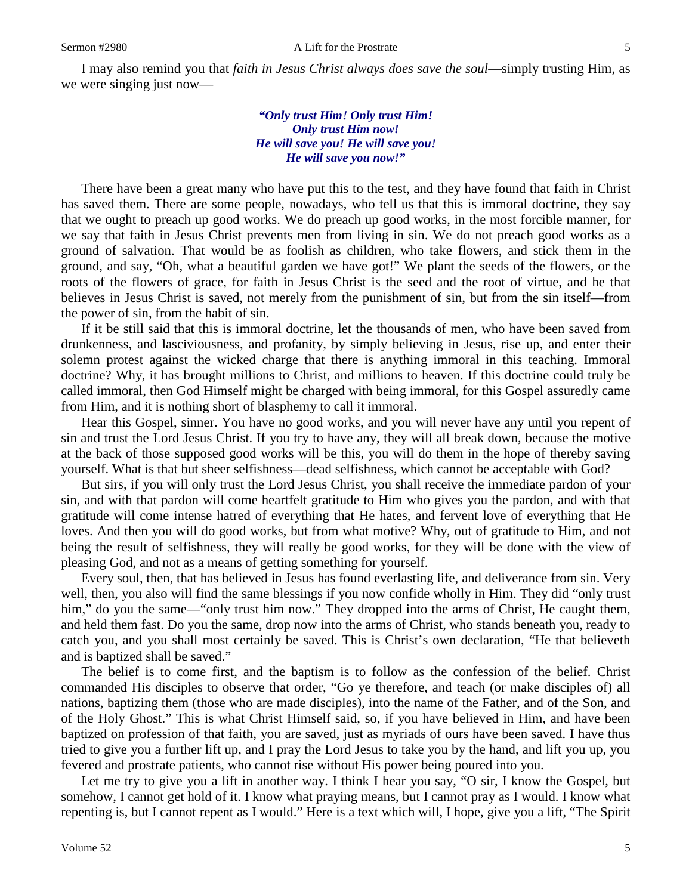I may also remind you that *faith in Jesus Christ always does save the soul*—simply trusting Him, as we were singing just now—

> *"Only trust Him! Only trust Him! Only trust Him now! He will save you! He will save you! He will save you now!"*

There have been a great many who have put this to the test, and they have found that faith in Christ has saved them. There are some people, nowadays, who tell us that this is immoral doctrine, they say that we ought to preach up good works. We do preach up good works, in the most forcible manner, for we say that faith in Jesus Christ prevents men from living in sin. We do not preach good works as a ground of salvation. That would be as foolish as children, who take flowers, and stick them in the ground, and say, "Oh, what a beautiful garden we have got!" We plant the seeds of the flowers, or the roots of the flowers of grace, for faith in Jesus Christ is the seed and the root of virtue, and he that believes in Jesus Christ is saved, not merely from the punishment of sin, but from the sin itself—from the power of sin, from the habit of sin.

If it be still said that this is immoral doctrine, let the thousands of men, who have been saved from drunkenness, and lasciviousness, and profanity, by simply believing in Jesus, rise up, and enter their solemn protest against the wicked charge that there is anything immoral in this teaching. Immoral doctrine? Why, it has brought millions to Christ, and millions to heaven. If this doctrine could truly be called immoral, then God Himself might be charged with being immoral, for this Gospel assuredly came from Him, and it is nothing short of blasphemy to call it immoral.

Hear this Gospel, sinner. You have no good works, and you will never have any until you repent of sin and trust the Lord Jesus Christ. If you try to have any, they will all break down, because the motive at the back of those supposed good works will be this, you will do them in the hope of thereby saving yourself. What is that but sheer selfishness—dead selfishness, which cannot be acceptable with God?

But sirs, if you will only trust the Lord Jesus Christ, you shall receive the immediate pardon of your sin, and with that pardon will come heartfelt gratitude to Him who gives you the pardon, and with that gratitude will come intense hatred of everything that He hates, and fervent love of everything that He loves. And then you will do good works, but from what motive? Why, out of gratitude to Him, and not being the result of selfishness, they will really be good works, for they will be done with the view of pleasing God, and not as a means of getting something for yourself.

Every soul, then, that has believed in Jesus has found everlasting life, and deliverance from sin. Very well, then, you also will find the same blessings if you now confide wholly in Him. They did "only trust him," do you the same—"only trust him now." They dropped into the arms of Christ, He caught them, and held them fast. Do you the same, drop now into the arms of Christ, who stands beneath you, ready to catch you, and you shall most certainly be saved. This is Christ's own declaration, "He that believeth and is baptized shall be saved."

The belief is to come first, and the baptism is to follow as the confession of the belief. Christ commanded His disciples to observe that order, "Go ye therefore, and teach (or make disciples of) all nations, baptizing them (those who are made disciples), into the name of the Father, and of the Son, and of the Holy Ghost." This is what Christ Himself said, so, if you have believed in Him, and have been baptized on profession of that faith, you are saved, just as myriads of ours have been saved. I have thus tried to give you a further lift up, and I pray the Lord Jesus to take you by the hand, and lift you up, you fevered and prostrate patients, who cannot rise without His power being poured into you.

Let me try to give you a lift in another way. I think I hear you say, "O sir, I know the Gospel, but somehow, I cannot get hold of it. I know what praying means, but I cannot pray as I would. I know what repenting is, but I cannot repent as I would." Here is a text which will, I hope, give you a lift, "The Spirit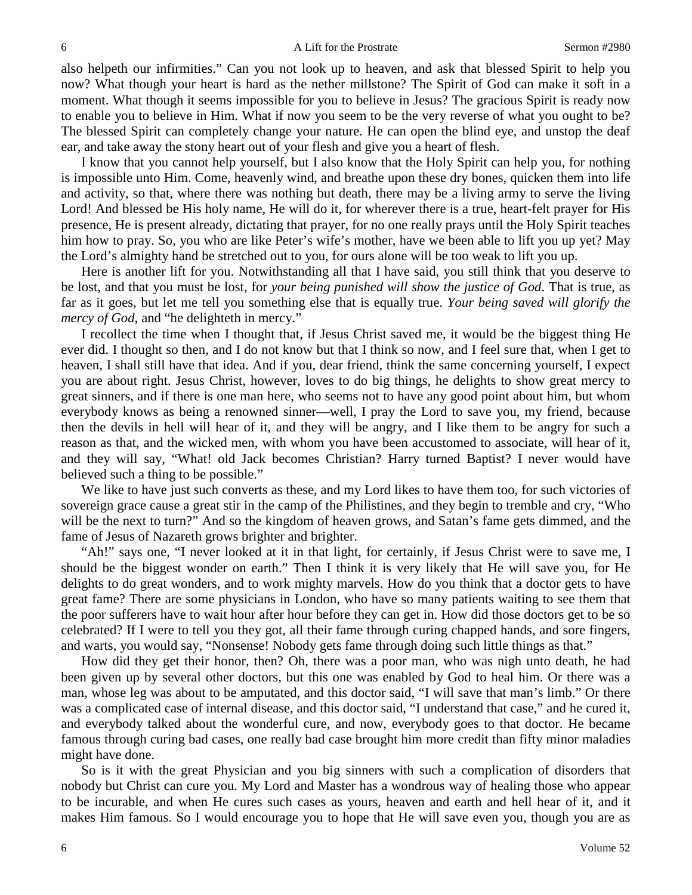also helpeth our infirmities." Can you not look up to heaven, and ask that blessed Spirit to help you now? What though your heart is hard as the nether millstone? The Spirit of God can make it soft in a moment. What though it seems impossible for you to believe in Jesus? The gracious Spirit is ready now to enable you to believe in Him. What if now you seem to be the very reverse of what you ought to be? The blessed Spirit can completely change your nature. He can open the blind eye, and unstop the deaf ear, and take away the stony heart out of your flesh and give you a heart of flesh.

I know that you cannot help yourself, but I also know that the Holy Spirit can help you, for nothing is impossible unto Him. Come, heavenly wind, and breathe upon these dry bones, quicken them into life and activity, so that, where there was nothing but death, there may be a living army to serve the living Lord! And blessed be His holy name, He will do it, for wherever there is a true, heart-felt prayer for His presence, He is present already, dictating that prayer, for no one really prays until the Holy Spirit teaches him how to pray. So, you who are like Peter's wife's mother, have we been able to lift you up yet? May the Lord's almighty hand be stretched out to you, for ours alone will be too weak to lift you up.

Here is another lift for you. Notwithstanding all that I have said, you still think that you deserve to be lost, and that you must be lost, for *your being punished will show the justice of God*. That is true, as far as it goes, but let me tell you something else that is equally true. *Your being saved will glorify the mercy of God,* and "he delighteth in mercy."

I recollect the time when I thought that, if Jesus Christ saved me, it would be the biggest thing He ever did. I thought so then, and I do not know but that I think so now, and I feel sure that, when I get to heaven, I shall still have that idea. And if you, dear friend, think the same concerning yourself, I expect you are about right. Jesus Christ, however, loves to do big things, he delights to show great mercy to great sinners, and if there is one man here, who seems not to have any good point about him, but whom everybody knows as being a renowned sinner—well, I pray the Lord to save you, my friend, because then the devils in hell will hear of it, and they will be angry, and I like them to be angry for such a reason as that, and the wicked men, with whom you have been accustomed to associate, will hear of it, and they will say, "What! old Jack becomes Christian? Harry turned Baptist? I never would have believed such a thing to be possible."

We like to have just such converts as these, and my Lord likes to have them too, for such victories of sovereign grace cause a great stir in the camp of the Philistines, and they begin to tremble and cry, "Who will be the next to turn?" And so the kingdom of heaven grows, and Satan's fame gets dimmed, and the fame of Jesus of Nazareth grows brighter and brighter.

"Ah!" says one, "I never looked at it in that light, for certainly, if Jesus Christ were to save me, I should be the biggest wonder on earth." Then I think it is very likely that He will save you, for He delights to do great wonders, and to work mighty marvels. How do you think that a doctor gets to have great fame? There are some physicians in London, who have so many patients waiting to see them that the poor sufferers have to wait hour after hour before they can get in. How did those doctors get to be so celebrated? If I were to tell you they got, all their fame through curing chapped hands, and sore fingers, and warts, you would say, "Nonsense! Nobody gets fame through doing such little things as that."

How did they get their honor, then? Oh, there was a poor man, who was nigh unto death, he had been given up by several other doctors, but this one was enabled by God to heal him. Or there was a man, whose leg was about to be amputated, and this doctor said, "I will save that man's limb." Or there was a complicated case of internal disease, and this doctor said, "I understand that case," and he cured it, and everybody talked about the wonderful cure, and now, everybody goes to that doctor. He became famous through curing bad cases, one really bad case brought him more credit than fifty minor maladies might have done.

So is it with the great Physician and you big sinners with such a complication of disorders that nobody but Christ can cure you. My Lord and Master has a wondrous way of healing those who appear to be incurable, and when He cures such cases as yours, heaven and earth and hell hear of it, and it makes Him famous. So I would encourage you to hope that He will save even you, though you are as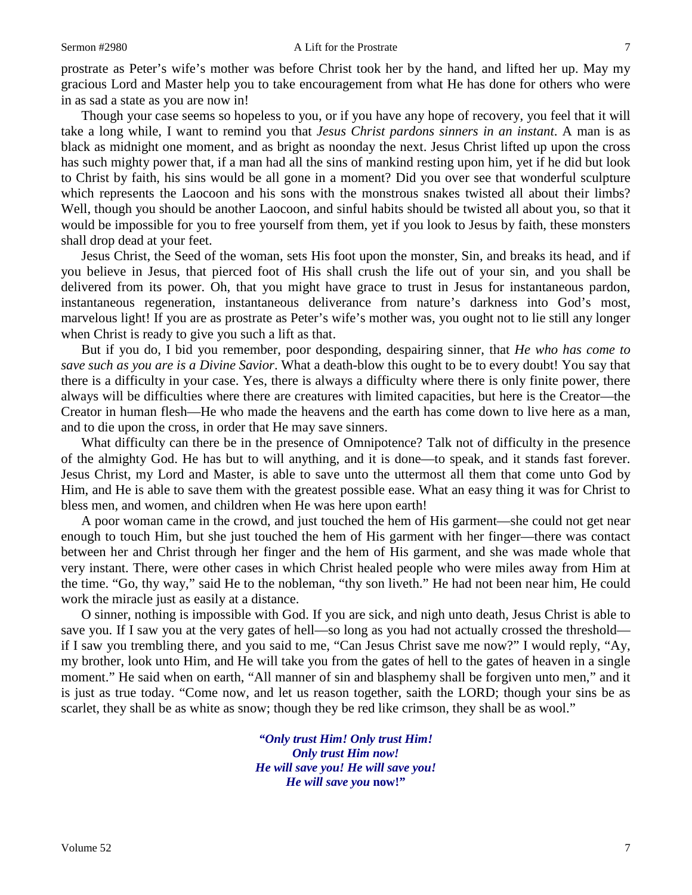prostrate as Peter's wife's mother was before Christ took her by the hand, and lifted her up. May my gracious Lord and Master help you to take encouragement from what He has done for others who were in as sad a state as you are now in!

Though your case seems so hopeless to you, or if you have any hope of recovery, you feel that it will take a long while, I want to remind you that *Jesus Christ pardons sinners in an instant*. A man is as black as midnight one moment, and as bright as noonday the next. Jesus Christ lifted up upon the cross has such mighty power that, if a man had all the sins of mankind resting upon him, yet if he did but look to Christ by faith, his sins would be all gone in a moment? Did you over see that wonderful sculpture which represents the Laocoon and his sons with the monstrous snakes twisted all about their limbs? Well, though you should be another Laocoon, and sinful habits should be twisted all about you, so that it would be impossible for you to free yourself from them, yet if you look to Jesus by faith, these monsters shall drop dead at your feet.

Jesus Christ, the Seed of the woman, sets His foot upon the monster, Sin, and breaks its head, and if you believe in Jesus, that pierced foot of His shall crush the life out of your sin, and you shall be delivered from its power. Oh, that you might have grace to trust in Jesus for instantaneous pardon, instantaneous regeneration, instantaneous deliverance from nature's darkness into God's most, marvelous light! If you are as prostrate as Peter's wife's mother was, you ought not to lie still any longer when Christ is ready to give you such a lift as that.

But if you do, I bid you remember, poor desponding, despairing sinner, that *He who has come to save such as you are is a Divine Savior*. What a death-blow this ought to be to every doubt! You say that there is a difficulty in your case. Yes, there is always a difficulty where there is only finite power, there always will be difficulties where there are creatures with limited capacities, but here is the Creator—the Creator in human flesh—He who made the heavens and the earth has come down to live here as a man, and to die upon the cross, in order that He may save sinners.

What difficulty can there be in the presence of Omnipotence? Talk not of difficulty in the presence of the almighty God. He has but to will anything, and it is done—to speak, and it stands fast forever. Jesus Christ, my Lord and Master, is able to save unto the uttermost all them that come unto God by Him, and He is able to save them with the greatest possible ease. What an easy thing it was for Christ to bless men, and women, and children when He was here upon earth!

A poor woman came in the crowd, and just touched the hem of His garment—she could not get near enough to touch Him, but she just touched the hem of His garment with her finger—there was contact between her and Christ through her finger and the hem of His garment, and she was made whole that very instant. There, were other cases in which Christ healed people who were miles away from Him at the time. "Go, thy way," said He to the nobleman, "thy son liveth." He had not been near him, He could work the miracle just as easily at a distance.

O sinner, nothing is impossible with God. If you are sick, and nigh unto death, Jesus Christ is able to save you. If I saw you at the very gates of hell—so long as you had not actually crossed the threshold if I saw you trembling there, and you said to me, "Can Jesus Christ save me now?" I would reply, "Ay, my brother, look unto Him, and He will take you from the gates of hell to the gates of heaven in a single moment." He said when on earth, "All manner of sin and blasphemy shall be forgiven unto men," and it is just as true today. "Come now, and let us reason together, saith the LORD; though your sins be as scarlet, they shall be as white as snow; though they be red like crimson, they shall be as wool."

> *"Only trust Him! Only trust Him! Only trust Him now! He will save you! He will save you! He will save you* **now!"**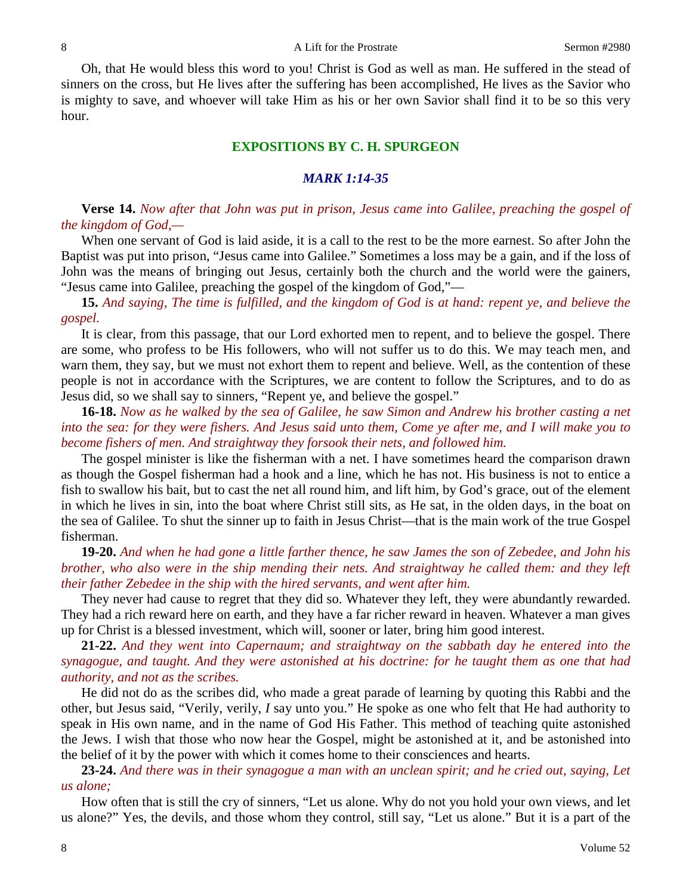Oh, that He would bless this word to you! Christ is God as well as man. He suffered in the stead of sinners on the cross, but He lives after the suffering has been accomplished, He lives as the Savior who is mighty to save, and whoever will take Him as his or her own Savior shall find it to be so this very hour.

### **EXPOSITIONS BY C. H. SPURGEON**

#### *MARK 1:14-35*

**Verse 14.** *Now after that John was put in prison, Jesus came into Galilee, preaching the gospel of the kingdom of God,—*

When one servant of God is laid aside, it is a call to the rest to be the more earnest. So after John the Baptist was put into prison, "Jesus came into Galilee." Sometimes a loss may be a gain, and if the loss of John was the means of bringing out Jesus, certainly both the church and the world were the gainers, "Jesus came into Galilee, preaching the gospel of the kingdom of God,"—

**15.** *And saying, The time is fulfilled, and the kingdom of God is at hand: repent ye, and believe the gospel.*

It is clear, from this passage, that our Lord exhorted men to repent, and to believe the gospel. There are some, who profess to be His followers, who will not suffer us to do this. We may teach men, and warn them, they say, but we must not exhort them to repent and believe. Well, as the contention of these people is not in accordance with the Scriptures, we are content to follow the Scriptures, and to do as Jesus did, so we shall say to sinners, "Repent ye, and believe the gospel."

**16-18.** *Now as he walked by the sea of Galilee, he saw Simon and Andrew his brother casting a net into the sea: for they were fishers. And Jesus said unto them, Come ye after me, and I will make you to become fishers of men. And straightway they forsook their nets, and followed him.*

The gospel minister is like the fisherman with a net. I have sometimes heard the comparison drawn as though the Gospel fisherman had a hook and a line, which he has not. His business is not to entice a fish to swallow his bait, but to cast the net all round him, and lift him, by God's grace, out of the element in which he lives in sin, into the boat where Christ still sits, as He sat, in the olden days, in the boat on the sea of Galilee. To shut the sinner up to faith in Jesus Christ—that is the main work of the true Gospel fisherman.

**19-20.** *And when he had gone a little farther thence, he saw James the son of Zebedee, and John his brother, who also were in the ship mending their nets. And straightway he called them: and they left their father Zebedee in the ship with the hired servants, and went after him.*

They never had cause to regret that they did so. Whatever they left, they were abundantly rewarded. They had a rich reward here on earth, and they have a far richer reward in heaven. Whatever a man gives up for Christ is a blessed investment, which will, sooner or later, bring him good interest.

**21-22.** *And they went into Capernaum; and straightway on the sabbath day he entered into the synagogue, and taught. And they were astonished at his doctrine: for he taught them as one that had authority, and not as the scribes.*

He did not do as the scribes did, who made a great parade of learning by quoting this Rabbi and the other, but Jesus said, "Verily, verily, *I* say unto you." He spoke as one who felt that He had authority to speak in His own name, and in the name of God His Father. This method of teaching quite astonished the Jews. I wish that those who now hear the Gospel, might be astonished at it, and be astonished into the belief of it by the power with which it comes home to their consciences and hearts.

**23-24.** *And there was in their synagogue a man with an unclean spirit; and he cried out, saying, Let us alone;*

How often that is still the cry of sinners, "Let us alone. Why do not you hold your own views, and let us alone?" Yes, the devils, and those whom they control, still say, "Let us alone." But it is a part of the